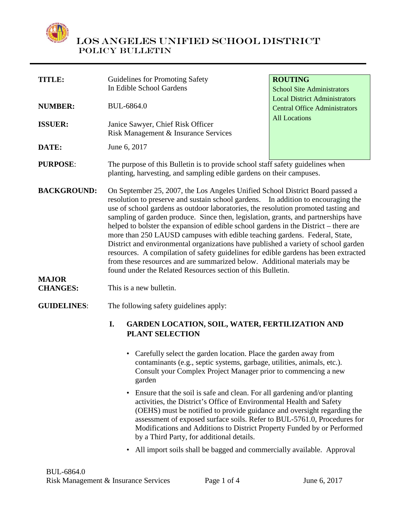

| <b>TITLE:</b>                                         | Guidelines for Promoting Safety                                                                                                                                                                                                                                                                                                                                                                                                                                                                                                                                                                                                                                                                                                                                                                                                                                           | <b>ROUTING</b>                       |
|-------------------------------------------------------|---------------------------------------------------------------------------------------------------------------------------------------------------------------------------------------------------------------------------------------------------------------------------------------------------------------------------------------------------------------------------------------------------------------------------------------------------------------------------------------------------------------------------------------------------------------------------------------------------------------------------------------------------------------------------------------------------------------------------------------------------------------------------------------------------------------------------------------------------------------------------|--------------------------------------|
|                                                       | In Edible School Gardens                                                                                                                                                                                                                                                                                                                                                                                                                                                                                                                                                                                                                                                                                                                                                                                                                                                  | <b>School Site Administrators</b>    |
|                                                       |                                                                                                                                                                                                                                                                                                                                                                                                                                                                                                                                                                                                                                                                                                                                                                                                                                                                           | <b>Local District Administrators</b> |
| <b>NUMBER:</b>                                        | <b>BUL-6864.0</b>                                                                                                                                                                                                                                                                                                                                                                                                                                                                                                                                                                                                                                                                                                                                                                                                                                                         | <b>Central Office Administrators</b> |
|                                                       |                                                                                                                                                                                                                                                                                                                                                                                                                                                                                                                                                                                                                                                                                                                                                                                                                                                                           | <b>All Locations</b>                 |
| <b>ISSUER:</b>                                        | Janice Sawyer, Chief Risk Officer                                                                                                                                                                                                                                                                                                                                                                                                                                                                                                                                                                                                                                                                                                                                                                                                                                         |                                      |
|                                                       | Risk Management & Insurance Services                                                                                                                                                                                                                                                                                                                                                                                                                                                                                                                                                                                                                                                                                                                                                                                                                                      |                                      |
| DATE:                                                 | June 6, 2017                                                                                                                                                                                                                                                                                                                                                                                                                                                                                                                                                                                                                                                                                                                                                                                                                                                              |                                      |
|                                                       |                                                                                                                                                                                                                                                                                                                                                                                                                                                                                                                                                                                                                                                                                                                                                                                                                                                                           |                                      |
| <b>PURPOSE:</b>                                       | The purpose of this Bulletin is to provide school staff safety guidelines when<br>planting, harvesting, and sampling edible gardens on their campuses.                                                                                                                                                                                                                                                                                                                                                                                                                                                                                                                                                                                                                                                                                                                    |                                      |
| <b>BACKGROUND:</b><br><b>MAJOR</b><br><b>CHANGES:</b> | On September 25, 2007, the Los Angeles Unified School District Board passed a<br>resolution to preserve and sustain school gardens. In addition to encouraging the<br>use of school gardens as outdoor laboratories, the resolution promoted tasting and<br>sampling of garden produce. Since then, legislation, grants, and partnerships have<br>helped to bolster the expansion of edible school gardens in the District – there are<br>more than 250 LAUSD campuses with edible teaching gardens. Federal, State,<br>District and environmental organizations have published a variety of school garden<br>resources. A compilation of safety guidelines for edible gardens has been extracted<br>from these resources and are summarized below. Additional materials may be<br>found under the Related Resources section of this Bulletin.<br>This is a new bulletin. |                                      |
| <b>GUIDELINES:</b>                                    | The following safety guidelines apply:                                                                                                                                                                                                                                                                                                                                                                                                                                                                                                                                                                                                                                                                                                                                                                                                                                    |                                      |
|                                                       | I.<br><b>GARDEN LOCATION, SOIL, WATER, FERTILIZATION AND</b><br><b>PLANT SELECTION</b>                                                                                                                                                                                                                                                                                                                                                                                                                                                                                                                                                                                                                                                                                                                                                                                    |                                      |
|                                                       | • Carefully select the garden location. Place the garden away from<br>contaminants (e.g., septic systems, garbage, utilities, animals, etc.).<br>Consult your Complex Project Manager prior to commencing a new<br>garden                                                                                                                                                                                                                                                                                                                                                                                                                                                                                                                                                                                                                                                 |                                      |
|                                                       | Ensure that the soil is safe and clean. For all gardening and/or planting<br>$\bullet$<br>activities, the District's Office of Environmental Health and Safety<br>(OEHS) must be notified to provide guidance and oversight regarding the<br>assessment of exposed surface soils. Refer to BUL-5761.0, Procedures for<br>Modifications and Additions to District Property Funded by or Performed                                                                                                                                                                                                                                                                                                                                                                                                                                                                          |                                      |

• All import soils shall be bagged and commercially available. Approval

by a Third Party, for additional details.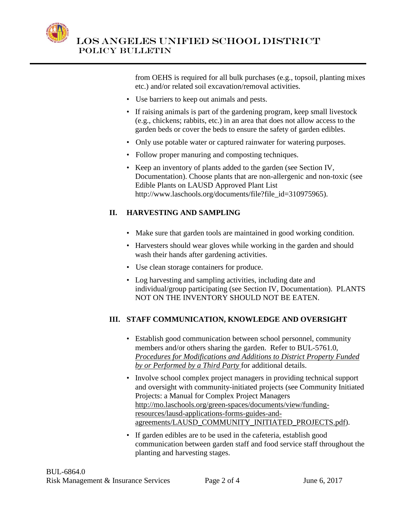

> from OEHS is required for all bulk purchases (e.g., topsoil, planting mixes etc.) and/or related soil excavation/removal activities.

- Use barriers to keep out animals and pests.
- If raising animals is part of the gardening program, keep small livestock (e.g., chickens; rabbits, etc.) in an area that does not allow access to the garden beds or cover the beds to ensure the safety of garden edibles.
- Only use potable water or captured rainwater for watering purposes.
- Follow proper manuring and composting techniques.
- Keep an inventory of plants added to the garden (see Section IV, Documentation). Choose plants that are non-allergenic and non-toxic (see Edible Plants on LAUSD Approved Plant List http://www.laschools.org/documents/file?file\_id=310975965).

#### **II. HARVESTING AND SAMPLING**

- Make sure that garden tools are maintained in good working condition.
- Harvesters should wear gloves while working in the garden and should wash their hands after gardening activities.
- Use clean storage containers for produce.
- Log harvesting and sampling activities, including date and individual/group participating (see Section IV, Documentation). PLANTS NOT ON THE INVENTORY SHOULD NOT BE EATEN.

#### **III. STAFF COMMUNICATION, KNOWLEDGE AND OVERSIGHT**

- Establish good communication between school personnel, community members and/or others sharing the garden. Refer to BUL-5761.0, *Procedures for Modifications and Additions to District Property Funded by or Performed by a Third Party* for additional details.
- Involve school complex project managers in providing technical support and oversight with community-initiated projects (see Community Initiated Projects: a Manual for Complex Project Managers http://mo.laschools.org/green-spaces/documents/view/fundingresources/lausd-applications-forms-guides-andagreements/LAUSD\_COMMUNITY\_INITIATED\_PROJECTS.pdf).
- If garden edibles are to be used in the cafeteria, establish good communication between garden staff and food service staff throughout the planting and harvesting stages.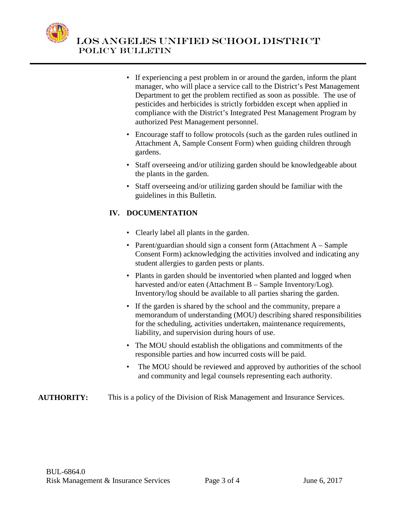

- If experiencing a pest problem in or around the garden, inform the plant manager, who will place a service call to the District's Pest Management Department to get the problem rectified as soon as possible. The use of pesticides and herbicides is strictly forbidden except when applied in compliance with the District's Integrated Pest Management Program by authorized Pest Management personnel.
- Encourage staff to follow protocols (such as the garden rules outlined in Attachment A, Sample Consent Form) when guiding children through gardens.
- Staff overseeing and/or utilizing garden should be knowledgeable about the plants in the garden.
- Staff overseeing and/or utilizing garden should be familiar with the guidelines in this Bulletin.

### **IV. DOCUMENTATION**

- Clearly label all plants in the garden.
- Parent/guardian should sign a consent form (Attachment A Sample Consent Form) acknowledging the activities involved and indicating any student allergies to garden pests or plants.
- Plants in garden should be inventoried when planted and logged when harvested and/or eaten (Attachment B – Sample Inventory/Log). Inventory/log should be available to all parties sharing the garden.
- If the garden is shared by the school and the community, prepare a memorandum of understanding (MOU) describing shared responsibilities for the scheduling, activities undertaken, maintenance requirements, liability, and supervision during hours of use.
- The MOU should establish the obligations and commitments of the responsible parties and how incurred costs will be paid.
- The MOU should be reviewed and approved by authorities of the school and community and legal counsels representing each authority.

### **AUTHORITY:** This is a policy of the Division of Risk Management and Insurance Services.